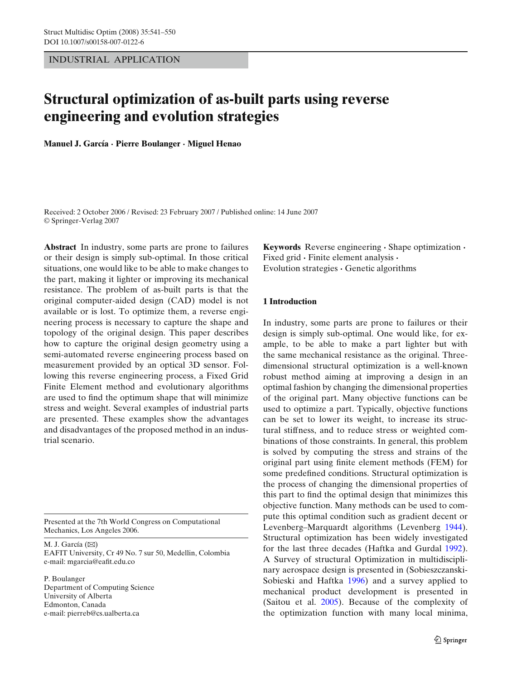<span id="page-0-0"></span>INDUSTRIAL APPLICATION

# **Structural optimization of as-built parts using reverse engineering and evolution strategies**

**Manuel J. García · Pierre Boulanger · Miguel Henao**

Received: 2 October 2006 / Revised: 23 February 2007 / Published online: 14 June 2007 © Springer-Verlag 2007

**Abstract** In industry, some parts are prone to failures or their design is simply sub-optimal. In those critical situations, one would like to be able to make changes to the part, making it lighter or improving its mechanical resistance. The problem of as-built parts is that the original computer-aided design (CAD) model is not available or is lost. To optimize them, a reverse engineering process is necessary to capture the shape and topology of the original design. This paper describes how to capture the original design geometry using a semi-automated reverse engineering process based on measurement provided by an optical 3D sensor. Following this reverse engineering process, a Fixed Grid Finite Element method and evolutionary algorithms are used to find the optimum shape that will minimize stress and weight. Several examples of industrial parts are presented. These examples show the advantages and disadvantages of the proposed method in an industrial scenario.

Presented at the 7th World Congress on Computational Mechanics, Los Angeles 2006.

M. J. García (⊠) EAFIT University, Cr 49 No. 7 sur 50, Medellin, Colombia e-mail: mgarcia@eafit.edu.co

P. Boulanger Department of Computing Science University of Alberta Edmonton, Canada e-mail: pierreb@cs.ualberta.ca

**Keywords** Reverse engineering **·** Shape optimization **·** Fixed grid **·** Finite element analysis **·** Evolution strategies **·** Genetic algorithms

# **1 Introduction**

In industry, some parts are prone to failures or their design is simply sub-optimal. One would like, for example, to be able to make a part lighter but with the same mechanical resistance as the original. Threedimensional structural optimization is a well-known robust method aiming at improving a design in an optimal fashion by changing the dimensional properties of the original part. Many objective functions can be used to optimize a part. Typically, objective functions can be set to lower its weight, to increase its structural stiffness, and to reduce stress or weighted combinations of those constraints. In general, this problem is solved by computing the stress and strains of the original part using finite element methods (FEM) for some predefined conditions. Structural optimization is the process of changing the dimensional properties of this part to find the optimal design that minimizes this objective function. Many methods can be used to compute this optimal condition such as gradient decent or Levenberg–Marquardt algorithms (Levenber[g](#page-9-0) [1944\)](#page-9-0). Structural optimization has been widely investigated for the last three decades (Haftka and Gurda[l](#page-9-0) [1992\)](#page-9-0). A Survey of structural Optimization in multidisciplinary aerospace design is presented in (Sobieszczanski-Sobieski and Haftka [1996\)](#page-9-0) and a survey applied to mechanical product development is presented in (Saitou et al. [2005\)](#page-9-0). Because of the complexity of the optimization function with many local minima,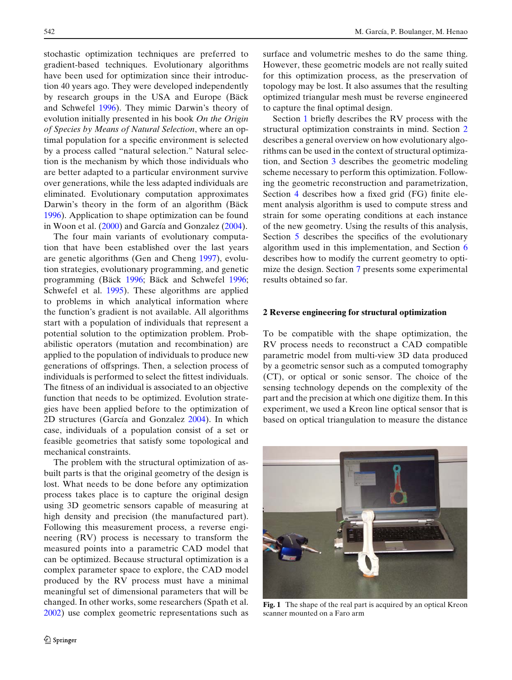<span id="page-1-0"></span>stochastic optimization techniques are preferred to gradient-based techniques. Evolutionary algorithms have been used for optimization since their introduction 40 years ago. They were developed independently by research groups in the USA and Europe (Bäck and Schwefe[l](#page-8-0) [1996\)](#page-8-0). They mimic Darwin's theory of evolution initially presented in his book *On the Origin of Species by Means of Natural Selection*, where an optimal population for a specific environment is selected by a process called "natural selection." Natural selection is the mechanism by which those individuals who are better adapted to a particular environment survive over generations, while the less adapted individuals are eliminated. Evolutionary computation approximates Darwin's theory in the form of an algorithm (Bäc[k](#page-8-0) [1996](#page-8-0)). Application to shape optimization can be found in Woon et al[.](#page-9-0) [\(2000\)](#page-9-0) and García and Gonzale[z](#page-8-0) [\(2004\)](#page-8-0).

The four main variants of evolutionary computation that have been established over the last years are genetic algorithms (Gen and Chen[g](#page-9-0) [1997\)](#page-9-0), evolution strategies, evolutionary programming, and genetic programming (Bäc[k](#page-8-0) [1996](#page-8-0); Bäck and Schwefe[l](#page-8-0) [1996;](#page-8-0) Schwefel et al[.](#page-9-0) [1995\)](#page-9-0). These algorithms are applied to problems in which analytical information where the function's gradient is not available. All algorithms start with a population of individuals that represent a potential solution to the optimization problem. Probabilistic operators (mutation and recombination) are applied to the population of individuals to produce new generations of offsprings. Then, a selection process of individuals is performed to select the fittest individuals. The fitness of an individual is associated to an objective function that needs to be optimized. Evolution strategies have been applied before to the optimization of 2D structures (García and Gonzale[z](#page-8-0) [2004](#page-8-0)). In which case, individuals of a population consist of a set or feasible geometries that satisfy some topological and mechanical constraints.

The problem with the structural optimization of asbuilt parts is that the original geometry of the design is lost. What needs to be done before any optimization process takes place is to capture the original design using 3D geometric sensors capable of measuring at high density and precision (the manufactured part). Following this measurement process, a reverse engineering (RV) process is necessary to transform the measured points into a parametric CAD model that can be optimized. Because structural optimization is a complex parameter space to explore, the CAD model produced by the RV process must have a minimal meaningful set of dimensional parameters that will be changed. In other works, some researchers (Spath et al[.](#page-9-0) [2002](#page-9-0)) use complex geometric representations such as surface and volumetric meshes to do the same thing. However, these geometric models are not really suited for this optimization process, as the preservation of topology may be lost. It also assumes that the resulting optimized triangular mesh must be reverse engineered to capture the final optimal design.

Section [1](#page-0-0) briefly describes the RV process with the structural optimization constraints in mind. Section 2 describes a general overview on how evolutionary algorithms can be used in the context of structural optimization, and Section [3](#page-3-0) describes the geometric modeling scheme necessary to perform this optimization. Following the geometric reconstruction and parametrization, Section [4](#page-3-0) describes how a fixed grid (FG) finite element analysis algorithm is used to compute stress and strain for some operating conditions at each instance of the new geometry. Using the results of this analysis, Section [5](#page-4-0) describes the specifics of the evolutionary algorithm used in this implementation, and Section [6](#page-4-0) describes how to modify the current geometry to optimize the design. Section [7](#page-5-0) presents some experimental results obtained so far.

#### **2 Reverse engineering for structural optimization**

To be compatible with the shape optimization, the RV process needs to reconstruct a CAD compatible parametric model from multi-view 3D data produced by a geometric sensor such as a computed tomography (CT), or optical or sonic sensor. The choice of the sensing technology depends on the complexity of the part and the precision at which one digitize them. In this experiment, we used a Kreon line optical sensor that is based on optical triangulation to measure the distance



**Fig. 1** The shape of the real part is acquired by an optical Kreon scanner mounted on a Faro arm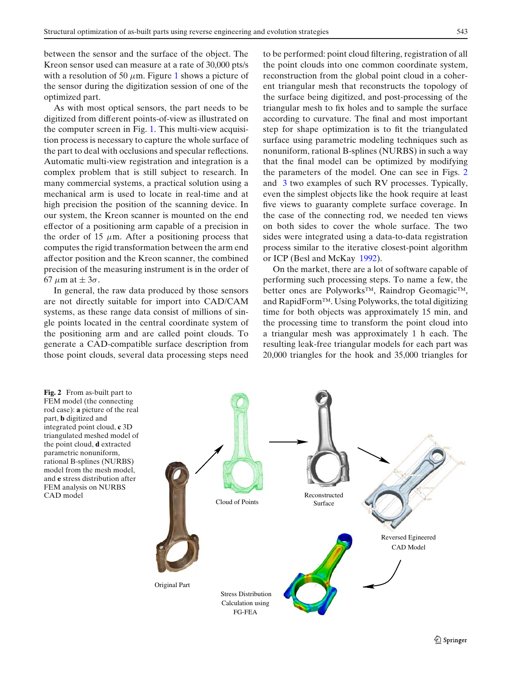between the sensor and the surface of the object. The Kreon sensor used can measure at a rate of 30,000 pts/s with a resolution of 50  $\mu$ m. Figure [1](#page-1-0) shows a picture of the sensor during the digitization session of one of the optimized part.

As with most optical sensors, the part needs to be digitized from different points-of-view as illustrated on the computer screen in Fig. [1.](#page-1-0) This multi-view acquisition process is necessary to capture the whole surface of the part to deal with occlusions and specular reflections. Automatic multi-view registration and integration is a complex problem that is still subject to research. In many commercial systems, a practical solution using a mechanical arm is used to locate in real-time and at high precision the position of the scanning device. In our system, the Kreon scanner is mounted on the end effector of a positioning arm capable of a precision in the order of 15  $\mu$ m. After a positioning process that computes the rigid transformation between the arm end affector position and the Kreon scanner, the combined precision of the measuring instrument is in the order of 67  $\mu$ m at  $\pm$  3 $\sigma$ .

In general, the raw data produced by those sensors are not directly suitable for import into CAD/CAM systems, as these range data consist of millions of single points located in the central coordinate system of the positioning arm and are called point clouds. To generate a CAD-compatible surface description from those point clouds, several data processing steps need to be performed: point cloud filtering, registration of all the point clouds into one common coordinate system, reconstruction from the global point cloud in a coherent triangular mesh that reconstructs the topology of the surface being digitized, and post-processing of the triangular mesh to fix holes and to sample the surface according to curvature. The final and most important step for shape optimization is to fit the triangulated surface using parametric modeling techniques such as nonuniform, rational B-splines (NURBS) in such a way that the final model can be optimized by modifying the parameters of the model. One can see in Figs. 2 and [3](#page-3-0) two examples of such RV processes. Typically, even the simplest objects like the hook require at least five views to guaranty complete surface coverage. In the case of the connecting rod, we needed ten views on both sides to cover the whole surface. The two sides were integrated using a data-to-data registration process similar to the it[er](#page-8-0)ative closest-point algorithm or ICP (Besl and McKay [1992](#page-8-0)).

On the market, there are a lot of software capable of performing such processing steps. To name a few, the better ones are Polyworks™, Raindrop Geomagic™, and RapidForm™. Using Polyworks, the total digitizing time for both objects was approximately 15 min, and the processing time to transform the point cloud into a triangular mesh was approximately 1 h each. The resulting leak-free triangular models for each part was 20,000 triangles for the hook and 35,000 triangles for

**Fig. 2** From as-built part to FEM model (the connecting rod case): **a** picture of the real part, **b** digitized and integrated point cloud, **c** 3D triangulated meshed model of the point cloud, **d** extracted parametric nonuniform, rational B-splines (NURBS) model from the mesh model, and **e** stress distribution after FEM analysis on NURBS CAD model

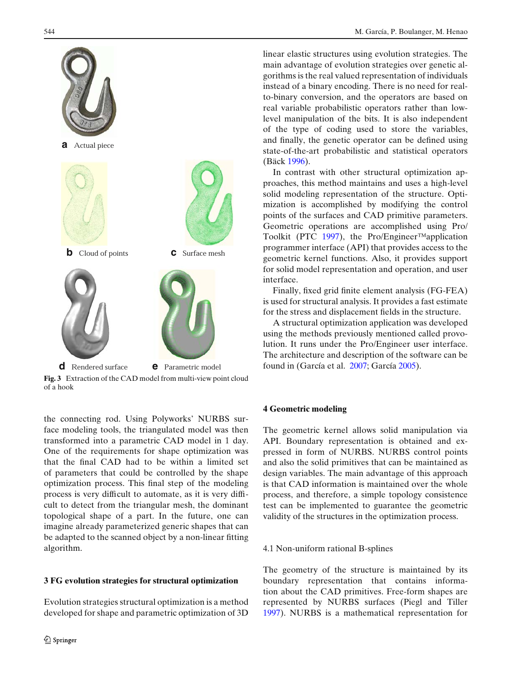<span id="page-3-0"></span>

**Fig. 3** Extraction of the CAD model from multi-view point cloud of a hook

the connecting rod. Using Polyworks' NURBS surface modeling tools, the triangulated model was then transformed into a parametric CAD model in 1 day. One of the requirements for shape optimization was that the final CAD had to be within a limited set of parameters that could be controlled by the shape optimization process. This final step of the modeling process is very difficult to automate, as it is very difficult to detect from the triangular mesh, the dominant topological shape of a part. In the future, one can imagine already parameterized generic shapes that can be adapted to the scanned object by a non-linear fitting algorithm.

## **3 FG evolution strategies for structural optimization**

Evolution strategies structural optimization is a method developed for shape and parametric optimization of 3D linear elastic structures using evolution strategies. The main advantage of evolution strategies over genetic algorithms is the real valued representation of individuals instead of a binary encoding. There is no need for realto-binary conversion, and the operators are based on real variable probabilistic operators rather than lowlevel manipulation of the bits. It is also independent of the type of coding used to store the variables, and finally, the genetic operator can be defined using state-of-the-art probabilistic and statistical operators (Bäc[k](#page-8-0) [1996\)](#page-8-0).

In contrast with other structural optimization approaches, this method maintains and uses a high-level solid modeling representation of the structure. Optimization is accomplished by modifying the control points of the surfaces and CAD primitive parameters. Geometric operations are accomplished using Pro/ Toolkit (PT[C](#page-9-0) [1997\)](#page-9-0), the Pro/Engineer™application programmer interface (API) that provides access to the geometric kernel functions. Also, it provides support for solid model representation and operation, and user interface.

Finally, fixed grid finite element analysis (FG-FEA) is used for structural analysis. It provides a fast estimate for the stress and displacement fields in the structure.

A structural optimization application was developed using the methods previously mentioned called provolution. It runs under the Pro/Engineer user interface. The architecture and [de](#page-8-0)scription of the software can be found in (García et al. [2007](#page-8-0); Garcí[a](#page-9-0) [2005\)](#page-9-0).

#### **4 Geometric modeling**

The geometric kernel allows solid manipulation via API. Boundary representation is obtained and expressed in form of NURBS. NURBS control points and also the solid primitives that can be maintained as design variables. The main advantage of this approach is that CAD information is maintained over the whole process, and therefore, a simple topology consistence test can be implemented to guarantee the geometric validity of the structures in the optimization process.

## 4.1 Non-uniform rational B-splines

The geometry of the structure is maintained by its boundary representation that contains information about the CAD primitives. Free-form shapes are represented by NURBS surfaces (Piegl and Tille[r](#page-9-0) [1997](#page-9-0)). NURBS is a mathematical representation for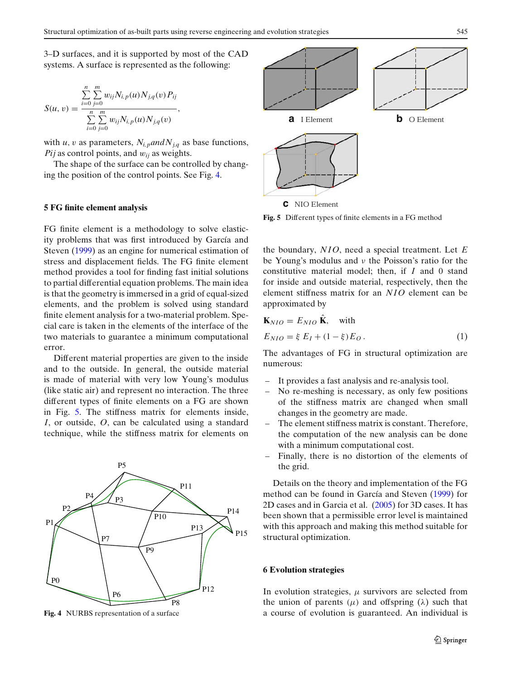<span id="page-4-0"></span>3–D surfaces, and it is supported by most of the CAD systems. A surface is represented as the following:

$$
S(u, v) = \frac{\sum_{i=0}^{n} \sum_{j=0}^{m} w_{ij} N_{i, p}(u) N_{j, q}(v) P_{ij}}{\sum_{i=0}^{n} \sum_{j=0}^{m} w_{ij} N_{i, p}(u) N_{j, q}(v)},
$$

with *u*, *v* as parameters,  $N_{i,p}$ *and* $N_{i,q}$  as base functions, *Pij* as control points, and  $w_{ii}$  as weights.

The shape of the surface can be controlled by changing the position of the control points. See Fig. 4.

#### **5 FG finite element analysis**

FG finite element is a methodology to solve elasticity problems that was first introduced by García and Steve[n](#page-8-0) [\(1999](#page-8-0)) as an engine for numerical estimation of stress and displacement fields. The FG finite element method provides a tool for finding fast initial solutions to partial differential equation problems. The main idea is that the geometry is immersed in a grid of equal-sized elements, and the problem is solved using standard finite element analysis for a two-material problem. Special care is taken in the elements of the interface of the two materials to guarantee a minimum computational error.

Different material properties are given to the inside and to the outside. In general, the outside material is made of material with very low Young's modulus (like static air) and represent no interaction. The three different types of finite elements on a FG are shown in Fig. 5. The stiffness matrix for elements inside, *I*, or outside, *O*, can be calculated using a standard technique, while the stiffness matrix for elements on



**Fig. 4** NURBS representation of a surface



**Fig. 5** Different types of finite elements in a FG method

the boundary, *NIO*, need a special treatment. Let *E* be Young's modulus and ν the Poisson's ratio for the constitutive material model; then, if *I* and 0 stand for inside and outside material, respectively, then the element stiffness matrix for an *NIO* element can be approximated by

$$
\mathbf{K}_{NIO} = E_{NIO} \hat{\mathbf{K}}, \text{ with}
$$
  
\n
$$
E_{NIO} = \xi E_I + (1 - \xi) E_O.
$$
 (1)

The advantages of FG in structural optimization are numerous:

- It provides a fast analysis and re-analysis tool.
- No re-meshing is necessary, as only few positions of the stiffness matrix are changed when small changes in the geometry are made.
- The element stiffness matrix is constant. Therefore, the computation of the new analysis can be done with a minimum computational cost.
- Finally, there is no distortion of the elements of the grid.

Details on the theory and implementation of the FG method can be found in García and Steve[n](#page-8-0) [\(1999](#page-8-0)) for 2D cases and in Garcia et al. [\(2005](#page-8-0)) for 3D cases. It has been shown that a permissible error level is maintained with this approach and making this method suitable for structural optimization.

#### **6 Evolution strategies**

In evolution strategies,  $\mu$  survivors are selected from the union of parents ( $\mu$ ) and offspring ( $\lambda$ ) such that a course of evolution is guaranteed. An individual is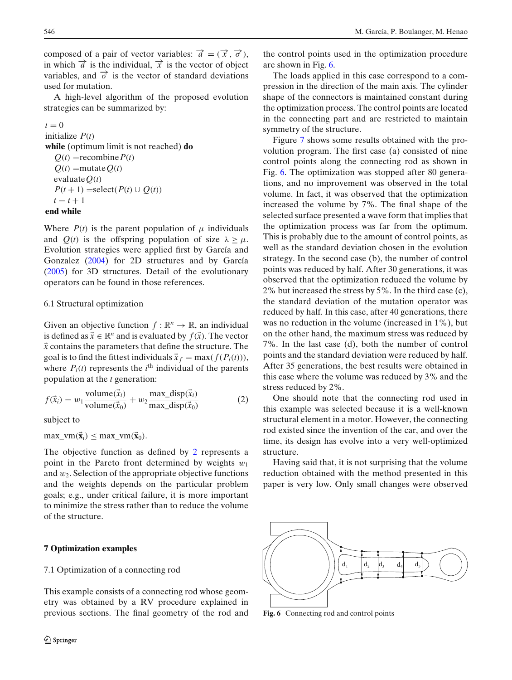<span id="page-5-0"></span>composed of a pair of vector variables:  $\vec{a} = (\vec{x}, \vec{\sigma})$ , in which  $\vec{a}$  is the individual,  $\vec{x}$  is the vector of object variables, and  $\vec{\sigma}$  is the vector of standard deviations used for mutation.

A high-level algorithm of the proposed evolution strategies can be summarized by:

 $t = 0$ initialize *P*(*t*) **while** (optimum limit is not reached) **do**  $Q(t)$  = recombine  $P(t)$  $Q(t)$  =mutate $Q(t)$ evaluate $O(t)$  $P(t+1) = \text{select}(P(t) \cup Q(t))$  $t = t + 1$ **end while**

Where  $P(t)$  is the parent population of  $\mu$  individuals and  $Q(t)$  is the offspring population of size  $\lambda \geq \mu$ . Evolution strategies were applied first by García and Gonzale[z](#page-8-0) [\(2004](#page-8-0)) for 2D structures and by Garcí[a](#page-9-0) [\(2005\)](#page-9-0) for 3D structures. Detail of the evolutionary operators can be found in those references.

# 6.1 Structural optimization

Given an objective function  $f : \mathbb{R}^n \to \mathbb{R}$ , an individual is defined as  $\vec{x} \in \mathbb{R}^n$  and is evaluated by  $f(\vec{x})$ . The vector  $\vec{x}$  contains the parameters that define the structure. The goal is to find the fittest individuals  $\vec{x}_f = \max(f(P_i(t))),$ where  $P_i(t)$  represents the  $i^{\text{th}}$  individual of the parents population at the *t* generation:

$$
f(\vec{x}_i) = w_1 \frac{\text{volume}(\vec{x}_i)}{\text{volume}(\vec{x}_0)} + w_2 \frac{\text{max\_disp}(\vec{x}_i)}{\text{max\_disp}(\vec{x}_0)}
$$
(2)

subject to

 $max\_vm(\vec{x}_i) \leq max\_vm(\vec{x}_0).$ 

The objective function as defined by 2 represents a point in the Pareto front determined by weights  $w_1$ and  $w_2$ . Selection of the appropriate objective functions and the weights depends on the particular problem goals; e.g., under critical failure, it is more important to minimize the stress rather than to reduce the volume of the structure.

# **7 Optimization examples**

## 7.1 Optimization of a connecting rod

This example consists of a connecting rod whose geometry was obtained by a RV procedure explained in previous sections. The final geometry of the rod and the control points used in the optimization procedure are shown in Fig. 6.

The loads applied in this case correspond to a compression in the direction of the main axis. The cylinder shape of the connectors is maintained constant during the optimization process. The control points are located in the connecting part and are restricted to maintain symmetry of the structure.

Figure [7](#page-6-0) shows some results obtained with the provolution program. The first case (a) consisted of nine control points along the connecting rod as shown in Fig. 6. The optimization was stopped after 80 generations, and no improvement was observed in the total volume. In fact, it was observed that the optimization increased the volume by 7%. The final shape of the selected surface presented a wave form that implies that the optimization process was far from the optimum. This is probably due to the amount of control points, as well as the standard deviation chosen in the evolution strategy. In the second case (b), the number of control points was reduced by half. After 30 generations, it was observed that the optimization reduced the volume by 2% but increased the stress by 5%. In the third case (c), the standard deviation of the mutation operator was reduced by half. In this case, after 40 generations, there was no reduction in the volume (increased in 1%), but on the other hand, the maximum stress was reduced by 7%. In the last case (d), both the number of control points and the standard deviation were reduced by half. After 35 generations, the best results were obtained in this case where the volume was reduced by 3% and the stress reduced by 2%.

One should note that the connecting rod used in this example was selected because it is a well-known structural element in a motor. However, the connecting rod existed since the invention of the car, and over the time, its design has evolve into a very well-optimized structure.

Having said that, it is not surprising that the volume reduction obtained with the method presented in this paper is very low. Only small changes were observed



**Fig. 6** Connecting rod and control points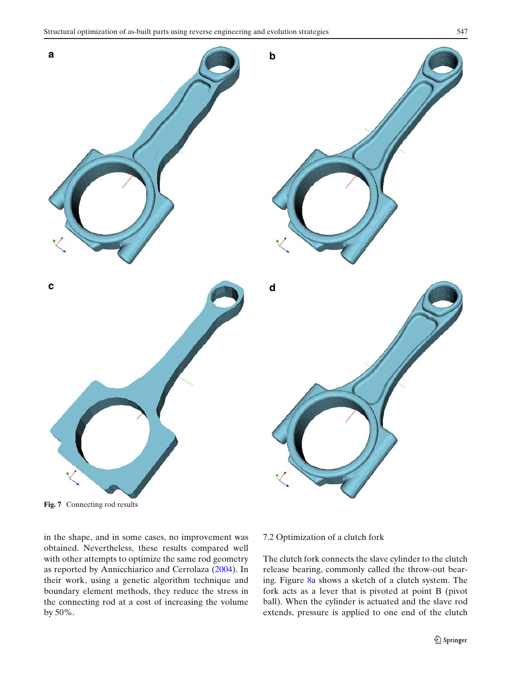<span id="page-6-0"></span>

**Fig. 7** Connecting rod results

in the shape, and in some cases, no improvement was obtained. Nevertheless, these results compared well with other attempts to optimize the same rod geometry as reported by Annicchiarico and Cerrolaz[a](#page-8-0) [\(2004](#page-8-0)). In their work, using a genetic algorithm technique and boundary element methods, they reduce the stress in the connecting rod at a cost of increasing the volume by 50%.

# 7.2 Optimization of a clutch fork

The clutch fork connects the slave cylinder to the clutch release bearing, commonly called the throw-out bearing. Figure [8a](#page-7-0) shows a sketch of a clutch system. The fork acts as a lever that is pivoted at point B (pivot ball). When the cylinder is actuated and the slave rod extends, pressure is applied to one end of the clutch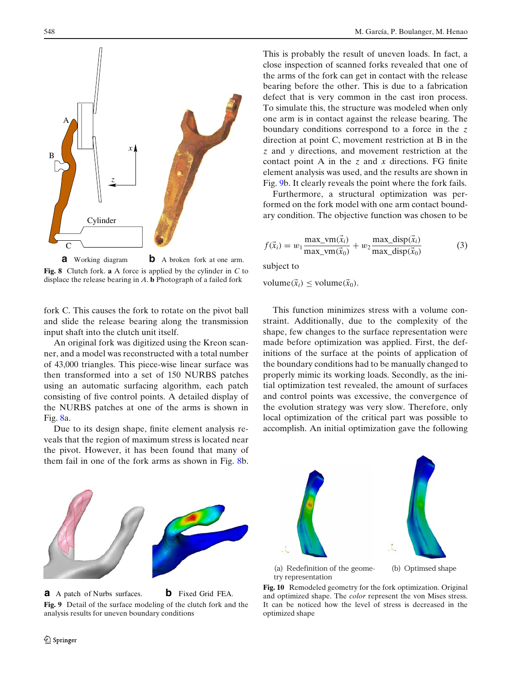<span id="page-7-0"></span>

**a** Working diagram **b** A broken fork at one arm. **Fig. 8** Clutch fork. **a** A force is applied by the cylinder in *C* to displace the release bearing in *A*. **b** Photograph of a failed fork

fork C. This causes the fork to rotate on the pivot ball and slide the release bearing along the transmission input shaft into the clutch unit itself.

An original fork was digitized using the Kreon scanner, and a model was reconstructed with a total number of 43,000 triangles. This piece-wise linear surface was then transformed into a set of 150 NURBS patches using an automatic surfacing algorithm, each patch consisting of five control points. A detailed display of the NURBS patches at one of the arms is shown in Fig. 8a.

Due to its design shape, finite element analysis reveals that the region of maximum stress is located near the pivot. However, it has been found that many of them fail in one of the fork arms as shown in Fig. 8b.

This is probably the result of uneven loads. In fact, a close inspection of scanned forks revealed that one of the arms of the fork can get in contact with the release bearing before the other. This is due to a fabrication defect that is very common in the cast iron process. To simulate this, the structure was modeled when only one arm is in contact against the release bearing. The boundary conditions correspond to a force in the *z* direction at point C, movement restriction at B in the *z* and *y* directions, and movement restriction at the contact point A in the *z* and *x* directions. FG finite element analysis was used, and the results are shown in Fig. 9b. It clearly reveals the point where the fork fails.

Furthermore, a structural optimization was performed on the fork model with one arm contact boundary condition. The objective function was chosen to be

$$
f(\vec{x}_i) = w_1 \frac{\max\limits_{i} \text{var}(\vec{x}_i)}{\max\limits_{i} \text{var}(\vec{x}_0)} + w_2 \frac{\max\limits_{i} \text{disp}(\vec{x}_i)}{\max\limits_{i} \text{disp}(\vec{x}_0)}
$$
(3)

subject to

volume( $\vec{x}_i$ )  $\leq$  volume( $\vec{x}_0$ ).

This function minimizes stress with a volume constraint. Additionally, due to the complexity of the shape, few changes to the surface representation were made before optimization was applied. First, the definitions of the surface at the points of application of the boundary conditions had to be manually changed to properly mimic its working loads. Secondly, as the initial optimization test revealed, the amount of surfaces and control points was excessive, the convergence of the evolution strategy was very slow. Therefore, only local optimization of the critical part was possible to accomplish. An initial optimization gave the following



**a** A patch of Nurbs surfaces. **b** Fixed Grid FEA. **Fig. 9** Detail of the surface modeling of the clutch fork and the analysis results for uneven boundary conditions



**Fig. 10** Remodeled geometry for the fork optimization. Original and optimized shape. The *color* represent the von Mises stress. It can be noticed how the level of stress is decreased in the optimized shape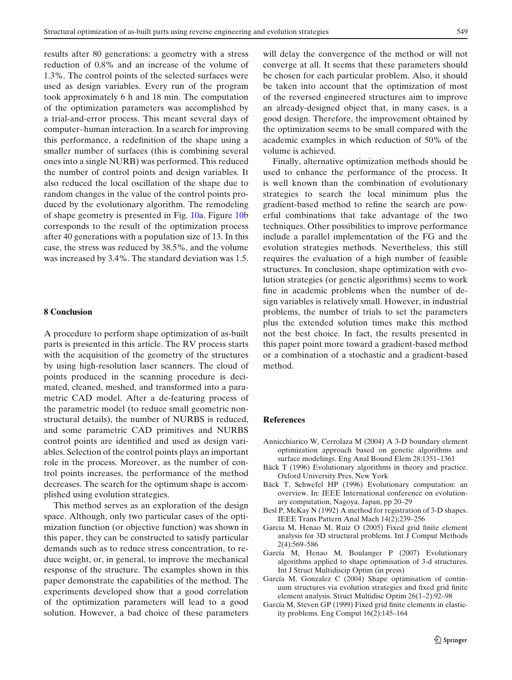<span id="page-8-0"></span>results after 80 generations: a geometry with a stress reduction of 0.8% and an increase of the volume of 1.3%. The control points of the selected surfaces were used as design variables. Every run of the program took approximately 6 h and 18 min. The computation of the optimization parameters was accomplished by a trial-and-error process. This meant several days of computer–human interaction. In a search for improving this performance, a redefinition of the shape using a smaller number of surfaces (this is combining several ones into a single NURB) was performed. This reduced the number of control points and design variables. It also reduced the local oscillation of the shape due to random changes in the value of the control points produced by the evolutionary algorithm. The remodeling of shape geometry is presented in Fig. [10a](#page-7-0). Figure [10b](#page-7-0) corresponds to the result of the optimization process after 40 generations with a population size of 13. In this case, the stress was reduced by 38.5%, and the volume was increased by 3.4%. The standard deviation was 1.5.

#### **8 Conclusion**

A procedure to perform shape optimization of as-built parts is presented in this article. The RV process starts with the acquisition of the geometry of the structures by using high-resolution laser scanners. The cloud of points produced in the scanning procedure is decimated, cleaned, meshed, and transformed into a parametric CAD model. After a de-featuring process of the parametric model (to reduce small geometric nonstructural details), the number of NURBS is reduced, and some parametric CAD primitives and NURBS control points are identified and used as design variables. Selection of the control points plays an important role in the process. Moreover, as the number of control points increases, the performance of the method decreases. The search for the optimum shape is accomplished using evolution strategies.

This method serves as an exploration of the design space. Although, only two particular cases of the optimization function (or objective function) was shown in this paper, they can be constructed to satisfy particular demands such as to reduce stress concentration, to reduce weight, or, in general, to improve the mechanical response of the structure. The examples shown in this paper demonstrate the capabilities of the method. The experiments developed show that a good correlation of the optimization parameters will lead to a good solution. However, a bad choice of these parameters

will delay the convergence of the method or will not converge at all. It seems that these parameters should be chosen for each particular problem. Also, it should be taken into account that the optimization of most of the reversed engineered structures aim to improve an already-designed object that, in many cases, is a good design. Therefore, the improvement obtained by the optimization seems to be small compared with the academic examples in which reduction of 50% of the volume is achieved.

Finally, alternative optimization methods should be used to enhance the performance of the process. It is well known than the combination of evolutionary strategies to search the local minimum plus the gradient-based method to refine the search are powerful combinations that take advantage of the two techniques. Other possibilities to improve performance include a parallel implementation of the FG and the evolution strategies methods. Nevertheless, this still requires the evaluation of a high number of feasible structures. In conclusion, shape optimization with evolution strategies (or genetic algorithms) seems to work fine in academic problems when the number of design variables is relatively small. However, in industrial problems, the number of trials to set the parameters plus the extended solution times make this method not the best choice. In fact, the results presented in this paper point more toward a gradient-based method or a combination of a stochastic and a gradient-based method.

#### **References**

- Annicchiarico W, Cerrolaza M (2004) A 3-D boundary element optimization approach based on genetic algorithms and surface modelings. Eng Anal Bound Elem 28:1351–1361
- Bäck T (1996) Evolutionary algorithms in theory and practice. Oxford University Pres, New York
- Bäck T, Schwefel HP (1996) Evolutionary computation: an overview. In: IEEE International conference on evolutionary computation, Nagoya, Japan, pp 20–29
- Besl P, McKay N (1992) A method for registration of 3-D shapes. IEEE Trans Pattern Anal Mach 14(2):239–256
- Garcia M, Henao M, Ruiz O (2005) Fixed grid finite element analysis for 3D structural problems. Int J Comput Methods 2(4):569–586
- García M, Henao M, Boulanger P (2007) Evolutionary algorithms applied to shape optimisation of 3-d structures. Int J Struct Multidiscip Optim (in press)
- García M, Gonzalez C (2004) Shape optimisation of continuum structures via evolution strategies and fixed grid finite element analysis. Struct Multidisc Optim 26(1–2):92–98
- García M, Steven GP (1999) Fixed grid finite elements in elasticity problems. Eng Comput 16(2):145–164